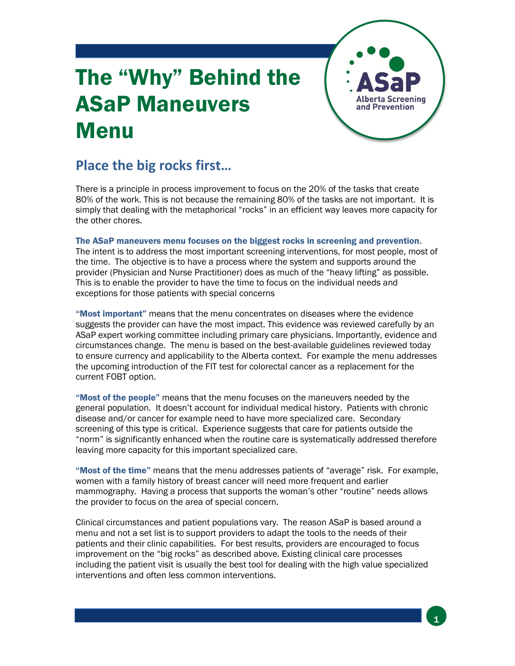## The "Why" Behind the ASaP Maneuvers Menu



## **Place the big rocks first…**

There is a principle in process improvement to focus on the 20% of the tasks that create 80% of the work. This is not because the remaining 80% of the tasks are not important. It is simply that dealing with the metaphorical "rocks" in an efficient way leaves more capacity for the other chores.

The ASaP maneuvers menu focuses on the biggest rocks in screening and prevention.

The intent is to address the most important screening interventions, for most people, most of the time. The objective is to have a process where the system and supports around the provider (Physician and Nurse Practitioner) does as much of the "heavy lifting" as possible. This is to enable the provider to have the time to focus on the individual needs and exceptions for those patients with special concerns

"Most important" means that the menu concentrates on diseases where the evidence suggests the provider can have the most impact. This evidence was reviewed carefully by an ASaP expert working committee including primary care physicians. Importantly, evidence and circumstances change. The menu is based on the best-available guidelines reviewed today to ensure currency and applicability to the Alberta context. For example the menu addresses the upcoming introduction of the FIT test for colorectal cancer as a replacement for the current FOBT option.

"Most of the people" means that the menu focuses on the maneuvers needed by the general population. It doesn't account for individual medical history. Patients with chronic disease and/or cancer for example need to have more specialized care. Secondary screening of this type is critical. Experience suggests that care for patients outside the "norm" is significantly enhanced when the routine care is systematically addressed therefore leaving more capacity for this important specialized care.

"Most of the time" means that the menu addresses patients of "average" risk. For example, women with a family history of breast cancer will need more frequent and earlier mammography. Having a process that supports the woman's other "routine" needs allows the provider to focus on the area of special concern.

Clinical circumstances and patient populations vary. The reason ASaP is based around a menu and not a set list is to support providers to adapt the tools to the needs of their patients and their clinic capabilities. For best results, providers are encouraged to focus improvement on the "big rocks" as described above. Existing clinical care processes including the patient visit is usually the best tool for dealing with the high value specialized interventions and often less common interventions.